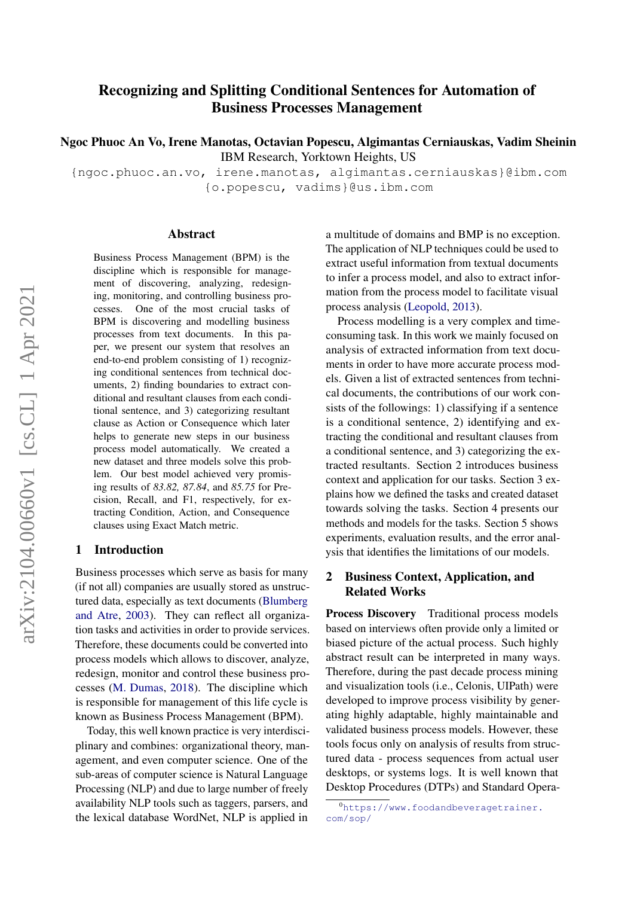# <span id="page-0-0"></span>Recognizing and Splitting Conditional Sentences for Automation of Business Processes Management

Ngoc Phuoc An Vo, Irene Manotas, Octavian Popescu, Algimantas Cerniauskas, Vadim Sheinin IBM Research, Yorktown Heights, US

{ngoc.phuoc.an.vo, irene.manotas, algimantas.cerniauskas}@ibm.com {o.popescu, vadims}@us.ibm.com

#### Abstract

Business Process Management (BPM) is the discipline which is responsible for management of discovering, analyzing, redesigning, monitoring, and controlling business processes. One of the most crucial tasks of BPM is discovering and modelling business processes from text documents. In this paper, we present our system that resolves an end-to-end problem consisting of 1) recognizing conditional sentences from technical documents, 2) finding boundaries to extract conditional and resultant clauses from each conditional sentence, and 3) categorizing resultant clause as Action or Consequence which later helps to generate new steps in our business process model automatically. We created a new dataset and three models solve this problem. Our best model achieved very promising results of *83.82, 87.84*, and *85.75* for Precision, Recall, and F1, respectively, for extracting Condition, Action, and Consequence clauses using Exact Match metric.

#### 1 Introduction

Business processes which serve as basis for many (if not all) companies are usually stored as unstructured data, especially as text documents [\(Blumberg](#page-6-0) [and Atre,](#page-6-0) [2003\)](#page-6-0). They can reflect all organization tasks and activities in order to provide services. Therefore, these documents could be converted into process models which allows to discover, analyze, redesign, monitor and control these business processes [\(M. Dumas,](#page-6-1) [2018\)](#page-6-1). The discipline which is responsible for management of this life cycle is known as Business Process Management (BPM).

Today, this well known practice is very interdisciplinary and combines: organizational theory, management, and even computer science. One of the sub-areas of computer science is Natural Language Processing (NLP) and due to large number of freely availability NLP tools such as taggers, parsers, and the lexical database WordNet, NLP is applied in a multitude of domains and BMP is no exception. The application of NLP techniques could be used to extract useful information from textual documents to infer a process model, and also to extract information from the process model to facilitate visual process analysis [\(Leopold,](#page-6-2) [2013\)](#page-6-2).

Process modelling is a very complex and timeconsuming task. In this work we mainly focused on analysis of extracted information from text documents in order to have more accurate process models. Given a list of extracted sentences from technical documents, the contributions of our work consists of the followings: 1) classifying if a sentence is a conditional sentence, 2) identifying and extracting the conditional and resultant clauses from a conditional sentence, and 3) categorizing the extracted resultants. Section 2 introduces business context and application for our tasks. Section 3 explains how we defined the tasks and created dataset towards solving the tasks. Section 4 presents our methods and models for the tasks. Section 5 shows experiments, evaluation results, and the error analysis that identifies the limitations of our models.

# 2 Business Context, Application, and Related Works

Process Discovery Traditional process models based on interviews often provide only a limited or biased picture of the actual process. Such highly abstract result can be interpreted in many ways. Therefore, during the past decade process mining and visualization tools (i.e., Celonis, UIPath) were developed to improve process visibility by generating highly adaptable, highly maintainable and validated business process models. However, these tools focus only on analysis of results from structured data - process sequences from actual user desktops, or systems logs. It is well known that Desktop Procedures (DTPs) and Standard Opera-

<sup>0</sup>[https://www.foodandbeveragetrainer.](https://www.foodandbeveragetrainer.com/sop/) [com/sop/](https://www.foodandbeveragetrainer.com/sop/)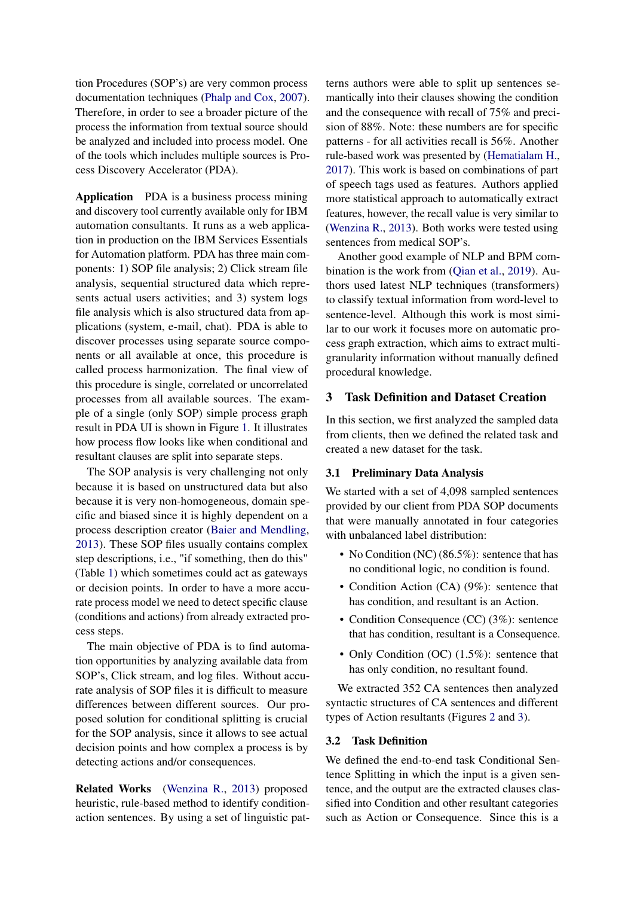tion Procedures (SOP's) are very common process documentation techniques [\(Phalp and Cox,](#page-6-3) [2007\)](#page-6-3). Therefore, in order to see a broader picture of the process the information from textual source should be analyzed and included into process model. One of the tools which includes multiple sources is Process Discovery Accelerator (PDA).

Application PDA is a business process mining and discovery tool currently available only for IBM automation consultants. It runs as a web application in production on the IBM Services Essentials for Automation platform. PDA has three main components: 1) SOP file analysis; 2) Click stream file analysis, sequential structured data which represents actual users activities; and 3) system logs file analysis which is also structured data from applications (system, e-mail, chat). PDA is able to discover processes using separate source components or all available at once, this procedure is called process harmonization. The final view of this procedure is single, correlated or uncorrelated processes from all available sources. The example of a single (only SOP) simple process graph result in PDA UI is shown in Figure [1.](#page-2-0) It illustrates how process flow looks like when conditional and resultant clauses are split into separate steps.

The SOP analysis is very challenging not only because it is based on unstructured data but also because it is very non-homogeneous, domain specific and biased since it is highly dependent on a process description creator [\(Baier and Mendling,](#page-6-4) [2013\)](#page-6-4). These SOP files usually contains complex step descriptions, i.e., "if something, then do this" (Table [1\)](#page-3-0) which sometimes could act as gateways or decision points. In order to have a more accurate process model we need to detect specific clause (conditions and actions) from already extracted process steps.

The main objective of PDA is to find automation opportunities by analyzing available data from SOP's, Click stream, and log files. Without accurate analysis of SOP files it is difficult to measure differences between different sources. Our proposed solution for conditional splitting is crucial for the SOP analysis, since it allows to see actual decision points and how complex a process is by detecting actions and/or consequences.

Related Works [\(Wenzina R.,](#page-6-5) [2013\)](#page-6-5) proposed heuristic, rule-based method to identify conditionaction sentences. By using a set of linguistic patterns authors were able to split up sentences semantically into their clauses showing the condition and the consequence with recall of 75% and precision of 88%. Note: these numbers are for specific patterns - for all activities recall is 56%. Another rule-based work was presented by [\(Hematialam H.,](#page-6-6) [2017\)](#page-6-6). This work is based on combinations of part of speech tags used as features. Authors applied more statistical approach to automatically extract features, however, the recall value is very similar to [\(Wenzina R.,](#page-6-5) [2013\)](#page-6-5). Both works were tested using sentences from medical SOP's.

Another good example of NLP and BPM combination is the work from [\(Qian et al.,](#page-6-7) [2019\)](#page-6-7). Authors used latest NLP techniques (transformers) to classify textual information from word-level to sentence-level. Although this work is most similar to our work it focuses more on automatic process graph extraction, which aims to extract multigranularity information without manually defined procedural knowledge.

#### 3 Task Definition and Dataset Creation

In this section, we first analyzed the sampled data from clients, then we defined the related task and created a new dataset for the task.

#### 3.1 Preliminary Data Analysis

We started with a set of 4,098 sampled sentences provided by our client from PDA SOP documents that were manually annotated in four categories with unbalanced label distribution:

- No Condition (NC) (86.5%): sentence that has no conditional logic, no condition is found.
- Condition Action (CA) (9%): sentence that has condition, and resultant is an Action.
- Condition Consequence (CC) (3%): sentence that has condition, resultant is a Consequence.
- Only Condition (OC) (1.5%): sentence that has only condition, no resultant found.

We extracted 352 CA sentences then analyzed syntactic structures of CA sentences and different types of Action resultants (Figures [2](#page-2-1) and [3\)](#page-2-2).

#### <span id="page-1-0"></span>3.2 Task Definition

We defined the end-to-end task Conditional Sentence Splitting in which the input is a given sentence, and the output are the extracted clauses classified into Condition and other resultant categories such as Action or Consequence. Since this is a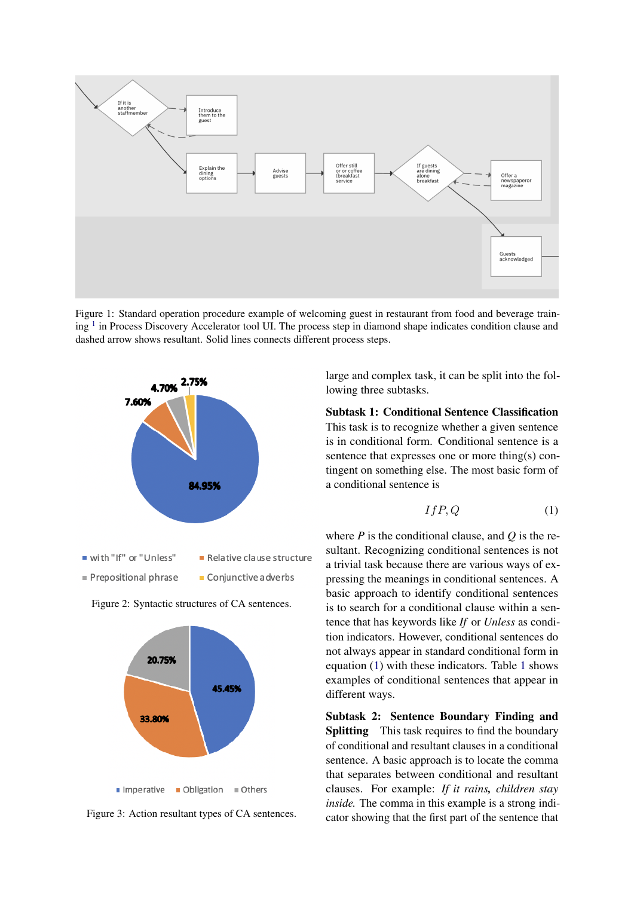<span id="page-2-0"></span>

Figure 1: Standard operation procedure example of welcoming guest in restaurant from food and beverage train-ing <sup>[1](#page-0-0)</sup> in Process Discovery Accelerator tool UI. The process step in diamond shape indicates condition clause and dashed arrow shows resultant. Solid lines connects different process steps.

<span id="page-2-1"></span>

<span id="page-2-2"></span>



Figure 3: Action resultant types of CA sentences.

large and complex task, it can be split into the following three subtasks.

Subtask 1: Conditional Sentence Classification This task is to recognize whether a given sentence is in conditional form. Conditional sentence is a sentence that expresses one or more thing(s) contingent on something else. The most basic form of a conditional sentence is

<span id="page-2-3"></span>
$$
If P, Q \tag{1}
$$

where *P* is the conditional clause, and *Q* is the resultant. Recognizing conditional sentences is not a trivial task because there are various ways of expressing the meanings in conditional sentences. A basic approach to identify conditional sentences is to search for a conditional clause within a sentence that has keywords like *If* or *Unless* as condition indicators. However, conditional sentences do not always appear in standard conditional form in equation [\(1\)](#page-2-3) with these indicators. Table [1](#page-3-0) shows examples of conditional sentences that appear in different ways.

Subtask 2: Sentence Boundary Finding and **Splitting** This task requires to find the boundary of conditional and resultant clauses in a conditional sentence. A basic approach is to locate the comma that separates between conditional and resultant clauses. For example: *If it rains, children stay inside*. The comma in this example is a strong indicator showing that the first part of the sentence that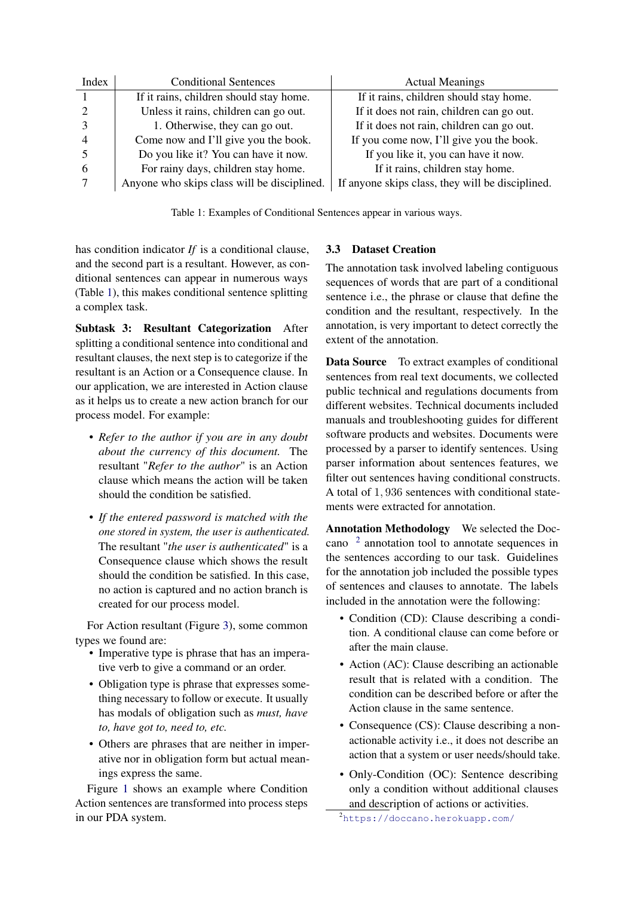<span id="page-3-0"></span>

| Index | <b>Conditional Sentences</b>                | <b>Actual Meanings</b>                           |
|-------|---------------------------------------------|--------------------------------------------------|
|       | If it rains, children should stay home.     | If it rains, children should stay home.          |
|       | Unless it rains, children can go out.       | If it does not rain, children can go out.        |
|       | 1. Otherwise, they can go out.              | If it does not rain, children can go out.        |
|       | Come now and I'll give you the book.        | If you come now, I'll give you the book.         |
|       | Do you like it? You can have it now.        | If you like it, you can have it now.             |
|       | For rainy days, children stay home.         | If it rains, children stay home.                 |
|       | Anyone who skips class will be disciplined. | If anyone skips class, they will be disciplined. |

Table 1: Examples of Conditional Sentences appear in various ways.

has condition indicator *If* is a conditional clause, and the second part is a resultant. However, as conditional sentences can appear in numerous ways (Table [1\)](#page-3-0), this makes conditional sentence splitting a complex task.

Subtask 3: Resultant Categorization After splitting a conditional sentence into conditional and resultant clauses, the next step is to categorize if the resultant is an Action or a Consequence clause. In our application, we are interested in Action clause as it helps us to create a new action branch for our process model. For example:

- *Refer to the author if you are in any doubt about the currency of this document.* The resultant "*Refer to the author*" is an Action clause which means the action will be taken should the condition be satisfied.
- *If the entered password is matched with the one stored in system, the user is authenticated.* The resultant "*the user is authenticated*" is a Consequence clause which shows the result should the condition be satisfied. In this case, no action is captured and no action branch is created for our process model.

For Action resultant (Figure [3\)](#page-2-2), some common types we found are:

- Imperative type is phrase that has an imperative verb to give a command or an order.
- Obligation type is phrase that expresses something necessary to follow or execute. It usually has modals of obligation such as *must, have to, have got to, need to, etc.*
- Others are phrases that are neither in imperative nor in obligation form but actual meanings express the same.

Figure [1](#page-2-0) shows an example where Condition Action sentences are transformed into process steps in our PDA system.

# <span id="page-3-2"></span>3.3 Dataset Creation

The annotation task involved labeling contiguous sequences of words that are part of a conditional sentence i.e., the phrase or clause that define the condition and the resultant, respectively. In the annotation, is very important to detect correctly the extent of the annotation.

Data Source To extract examples of conditional sentences from real text documents, we collected public technical and regulations documents from different websites. Technical documents included manuals and troubleshooting guides for different software products and websites. Documents were processed by a parser to identify sentences. Using parser information about sentences features, we filter out sentences having conditional constructs. A total of 1, 936 sentences with conditional statements were extracted for annotation.

Annotation Methodology We selected the Doccano [2](#page-3-1) annotation tool to annotate sequences in the sentences according to our task. Guidelines for the annotation job included the possible types of sentences and clauses to annotate. The labels included in the annotation were the following:

- Condition (CD): Clause describing a condition. A conditional clause can come before or after the main clause.
- Action (AC): Clause describing an actionable result that is related with a condition. The condition can be described before or after the Action clause in the same sentence.
- Consequence (CS): Clause describing a nonactionable activity i.e., it does not describe an action that a system or user needs/should take.
- Only-Condition (OC): Sentence describing only a condition without additional clauses and description of actions or activities.

<span id="page-3-1"></span><sup>2</sup><https://doccano.herokuapp.com/>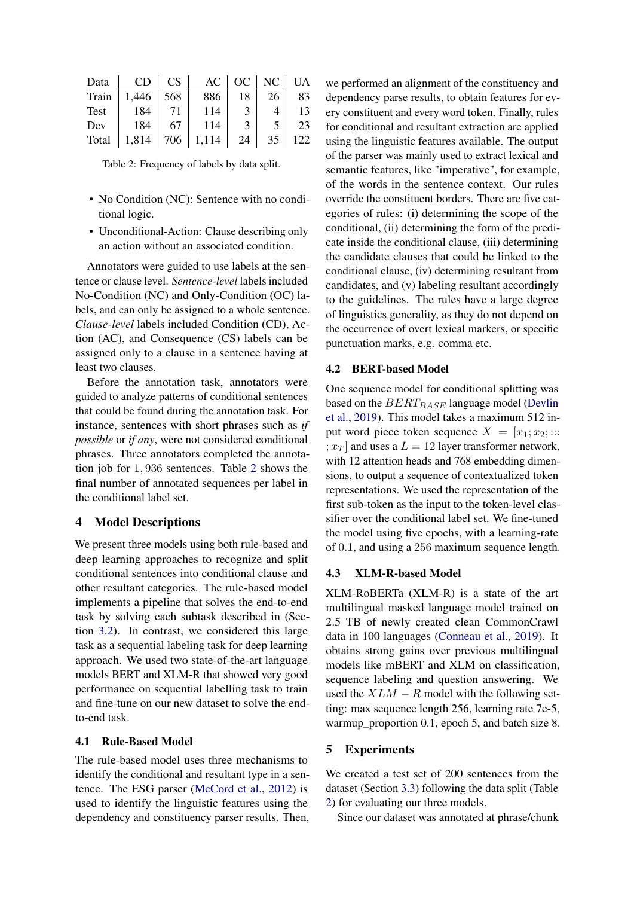<span id="page-4-0"></span>

| Data  | CD    | <b>CS</b> | $AC \vert$ |               | $OC \mid NC \mid$ | <b>UA</b> |
|-------|-------|-----------|------------|---------------|-------------------|-----------|
| Train | 1,446 | 568       | 886        | 18            | 26                | 83        |
| Test  | 184   | 71        | 114        |               |                   | 13        |
| Dev   | 184   | 67        | 114        | $\mathcal{E}$ |                   | 23        |
| Total | 1,814 | 706       | 1,114      | 24            | 35                | 122       |

Table 2: Frequency of labels by data split.

- No Condition (NC): Sentence with no conditional logic.
- Unconditional-Action: Clause describing only an action without an associated condition.

Annotators were guided to use labels at the sentence or clause level. *Sentence-level* labels included No-Condition (NC) and Only-Condition (OC) labels, and can only be assigned to a whole sentence. *Clause-level* labels included Condition (CD), Action (AC), and Consequence (CS) labels can be assigned only to a clause in a sentence having at least two clauses.

Before the annotation task, annotators were guided to analyze patterns of conditional sentences that could be found during the annotation task. For instance, sentences with short phrases such as *if possible* or *if any*, were not considered conditional phrases. Three annotators completed the annotation job for 1, 936 sentences. Table [2](#page-4-0) shows the final number of annotated sequences per label in the conditional label set.

#### 4 Model Descriptions

We present three models using both rule-based and deep learning approaches to recognize and split conditional sentences into conditional clause and other resultant categories. The rule-based model implements a pipeline that solves the end-to-end task by solving each subtask described in (Section [3.2\)](#page-1-0). In contrast, we considered this large task as a sequential labeling task for deep learning approach. We used two state-of-the-art language models BERT and XLM-R that showed very good performance on sequential labelling task to train and fine-tune on our new dataset to solve the endto-end task.

#### 4.1 Rule-Based Model

The rule-based model uses three mechanisms to identify the conditional and resultant type in a sentence. The ESG parser [\(McCord et al.,](#page-6-8) [2012\)](#page-6-8) is used to identify the linguistic features using the dependency and constituency parser results. Then, we performed an alignment of the constituency and dependency parse results, to obtain features for every constituent and every word token. Finally, rules for conditional and resultant extraction are applied using the linguistic features available. The output of the parser was mainly used to extract lexical and semantic features, like "imperative", for example, of the words in the sentence context. Our rules override the constituent borders. There are five categories of rules: (i) determining the scope of the conditional, (ii) determining the form of the predicate inside the conditional clause, (iii) determining the candidate clauses that could be linked to the conditional clause, (iv) determining resultant from candidates, and (v) labeling resultant accordingly to the guidelines. The rules have a large degree of linguistics generality, as they do not depend on the occurrence of overt lexical markers, or specific punctuation marks, e.g. comma etc.

#### 4.2 BERT-based Model

One sequence model for conditional splitting was based on the  $BERT_{BASE}$  language model [\(Devlin](#page-6-9) [et al.,](#page-6-9) [2019\)](#page-6-9). This model takes a maximum 512 input word piece token sequence  $X = [x_1; x_2; ...]$  $;x_T$  and uses a  $L = 12$  layer transformer network, with 12 attention heads and 768 embedding dimensions, to output a sequence of contextualized token representations. We used the representation of the first sub-token as the input to the token-level classifier over the conditional label set. We fine-tuned the model using five epochs, with a learning-rate of 0.1, and using a 256 maximum sequence length.

#### 4.3 XLM-R-based Model

XLM-RoBERTa (XLM-R) is a state of the art multilingual masked language model trained on 2.5 TB of newly created clean CommonCrawl data in 100 languages [\(Conneau et al.,](#page-6-10) [2019\)](#page-6-10). It obtains strong gains over previous multilingual models like mBERT and XLM on classification, sequence labeling and question answering. We used the  $XLM - R$  model with the following setting: max sequence length 256, learning rate 7e-5, warmup\_proportion 0.1, epoch 5, and batch size 8.

### 5 Experiments

We created a test set of 200 sentences from the dataset (Section [3.3\)](#page-3-2) following the data split (Table [2\)](#page-4-0) for evaluating our three models.

Since our dataset was annotated at phrase/chunk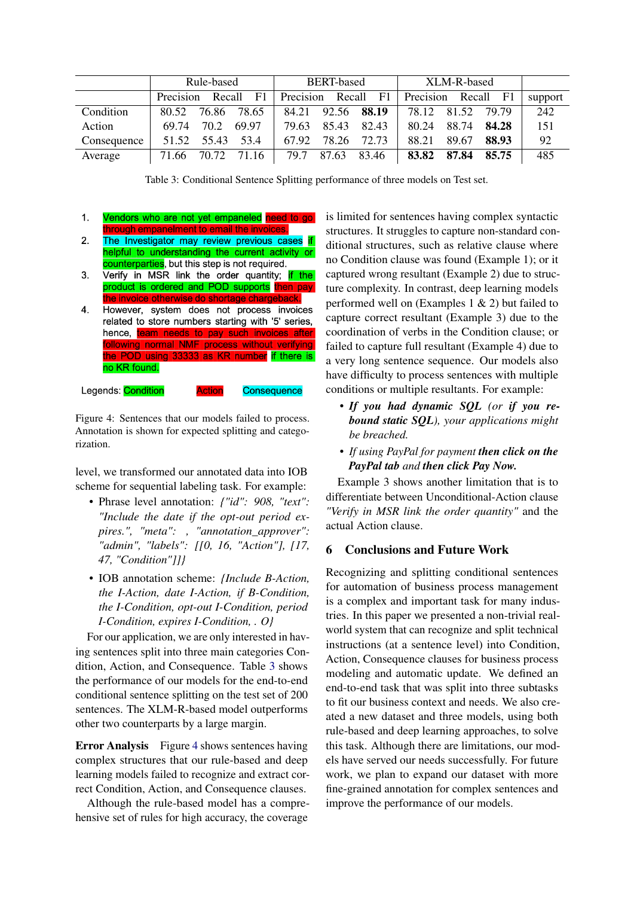<span id="page-5-0"></span>

|             | Rule-based              | <b>BERT-based</b>       | XLM-R-based              |         |
|-------------|-------------------------|-------------------------|--------------------------|---------|
|             | Precision<br>Recall F1  | Precision<br>Recall F1  | Precision Recall<br>- F1 | support |
| Condition   | 80.52<br>76.86<br>78.65 | 92.56 88.19<br>84.21    | 78.12<br>81.52<br>79.79  | 242     |
| Action      | 70.2<br>69.74<br>69.97  | 85.43<br>82.43<br>79.63 | 88.74<br>84.28<br>80.24  | 151     |
| Consequence | 55.43<br>53.4<br>51.52  | 72.73<br>78.26<br>67.92 | 88.93<br>89.67<br>88.21  | 92      |
| Average     | 71.66 70.72 71.16       | 87.63<br>83.46<br>79.7  | 83.82<br>87.84<br>85.75  | 485     |

Table 3: Conditional Sentence Splitting performance of three models on Test set.

- <span id="page-5-1"></span> $\mathbf{1}$ . Vendors who are not yet empaneled need to go through empanelment to email the invoices.
- $2.$ The Investigator may review previous cases if helpful to understanding the current activity or counterparties, but this step is not required.
- $3.$ Verify in MSR link the order quantity; if the product is ordered and POD supports then pay the invoice otherwise do shortage chargeback.
- However, system does not process invoices 4. related to store numbers starting with '5' series, hence, team needs to pay such invoices after following normal NMF process without verifying the POD using 33333 as KR number if there is no KR found.

Consequence

Legends: Condition Actior

Figure 4: Sentences that our models failed to process. Annotation is shown for expected splitting and categorization.

level, we transformed our annotated data into IOB scheme for sequential labeling task. For example:

- Phrase level annotation: *{"id": 908, "text": "Include the date if the opt-out period expires.", "meta": , "annotation\_approver": "admin", "labels": [[0, 16, "Action"], [17, 47, "Condition"]]}*
- IOB annotation scheme: *{Include B-Action, the I-Action, date I-Action, if B-Condition, the I-Condition, opt-out I-Condition, period I-Condition, expires I-Condition, . O}*

For our application, we are only interested in having sentences split into three main categories Condition, Action, and Consequence. Table [3](#page-5-0) shows the performance of our models for the end-to-end conditional sentence splitting on the test set of 200 sentences. The XLM-R-based model outperforms other two counterparts by a large margin.

Error Analysis Figure [4](#page-5-1) shows sentences having complex structures that our rule-based and deep learning models failed to recognize and extract correct Condition, Action, and Consequence clauses.

Although the rule-based model has a comprehensive set of rules for high accuracy, the coverage

is limited for sentences having complex syntactic structures. It struggles to capture non-standard conditional structures, such as relative clause where no Condition clause was found (Example 1); or it captured wrong resultant (Example 2) due to structure complexity. In contrast, deep learning models performed well on (Examples 1 & 2) but failed to capture correct resultant (Example 3) due to the coordination of verbs in the Condition clause; or failed to capture full resultant (Example 4) due to a very long sentence sequence. Our models also have difficulty to process sentences with multiple conditions or multiple resultants. For example:

- *If you had dynamic SQL (or if you rebound static SQL), your applications might be breached.*
- *If using PayPal for payment then click on the PayPal tab and then click Pay Now.*

Example 3 shows another limitation that is to differentiate between Unconditional-Action clause *"Verify in MSR link the order quantity"* and the actual Action clause.

# 6 Conclusions and Future Work

Recognizing and splitting conditional sentences for automation of business process management is a complex and important task for many industries. In this paper we presented a non-trivial realworld system that can recognize and split technical instructions (at a sentence level) into Condition, Action, Consequence clauses for business process modeling and automatic update. We defined an end-to-end task that was split into three subtasks to fit our business context and needs. We also created a new dataset and three models, using both rule-based and deep learning approaches, to solve this task. Although there are limitations, our models have served our needs successfully. For future work, we plan to expand our dataset with more fine-grained annotation for complex sentences and improve the performance of our models.